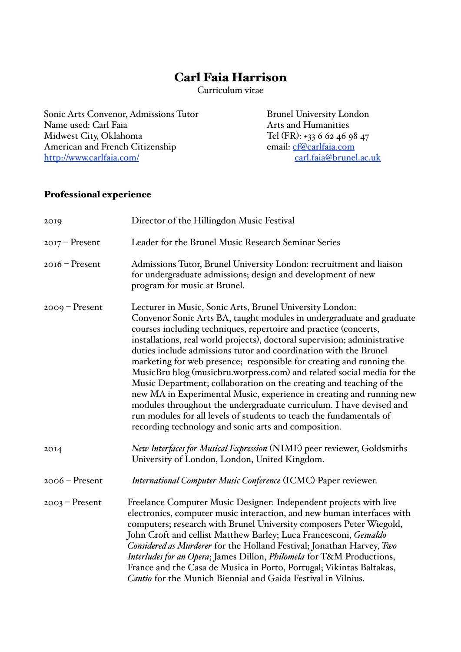# Carl Faia Harrison

Curriculum vitae

Sonic Arts Convenor, Admissions Tutor Brunel University London<br>Name used: Carl Faia Arts and Humanities Name used: Carl Faia<br>Midwest City, Oklahoma American and French Citizenship<br>
http://www.carlfaia.com/<br>
carl.faia@brunel.ac.uk <http://www.carlfaia.com/>

Tel (FR): +33 6 62 46 98 47<br>email: cf@carlfaia.com

## Professional experience

| 2019             | Director of the Hillingdon Music Festival                                                                                                                                                                                                                                                                                                                                                                                                                                                                                                                                                                                                                                                                                                                                                                                                                    |  |  |  |  |
|------------------|--------------------------------------------------------------------------------------------------------------------------------------------------------------------------------------------------------------------------------------------------------------------------------------------------------------------------------------------------------------------------------------------------------------------------------------------------------------------------------------------------------------------------------------------------------------------------------------------------------------------------------------------------------------------------------------------------------------------------------------------------------------------------------------------------------------------------------------------------------------|--|--|--|--|
| $2017$ – Present | Leader for the Brunel Music Research Seminar Series                                                                                                                                                                                                                                                                                                                                                                                                                                                                                                                                                                                                                                                                                                                                                                                                          |  |  |  |  |
| $2016$ – Present | Admissions Tutor, Brunel University London: recruitment and liaison<br>for undergraduate admissions; design and development of new<br>program for music at Brunel.                                                                                                                                                                                                                                                                                                                                                                                                                                                                                                                                                                                                                                                                                           |  |  |  |  |
| $2009$ – Present | Lecturer in Music, Sonic Arts, Brunel University London:<br>Convenor Sonic Arts BA, taught modules in undergraduate and graduate<br>courses including techniques, repertoire and practice (concerts,<br>installations, real world projects), doctoral supervision; administrative<br>duties include admissions tutor and coordination with the Brunel<br>marketing for web presence; responsible for creating and running the<br>MusicBru blog (musicbru.worpress.com) and related social media for the<br>Music Department; collaboration on the creating and teaching of the<br>new MA in Experimental Music, experience in creating and running new<br>modules throughout the undergraduate curriculum. I have devised and<br>run modules for all levels of students to teach the fundamentals of<br>recording technology and sonic arts and composition. |  |  |  |  |
| 20I4             | New Interfaces for Musical Expression (NIME) peer reviewer, Goldsmiths<br>University of London, London, United Kingdom.                                                                                                                                                                                                                                                                                                                                                                                                                                                                                                                                                                                                                                                                                                                                      |  |  |  |  |
| $2006$ – Present | International Computer Music Conference (ICMC) Paper reviewer.                                                                                                                                                                                                                                                                                                                                                                                                                                                                                                                                                                                                                                                                                                                                                                                               |  |  |  |  |
| $2003$ – Present | Freelance Computer Music Designer: Independent projects with live<br>electronics, computer music interaction, and new human interfaces with<br>computers; research with Brunel University composers Peter Wiegold,<br>John Croft and cellist Matthew Barley; Luca Francesconi, Gesualdo<br>Considered as Murderer for the Holland Festival; Jonathan Harvey, Two<br>Interludes for an Opera; James Dillon, Philomela for T&M Productions,<br>France and the Casa de Musica in Porto, Portugal; Vikintas Baltakas,<br>Cantio for the Munich Biennial and Gaida Festival in Vilnius.                                                                                                                                                                                                                                                                           |  |  |  |  |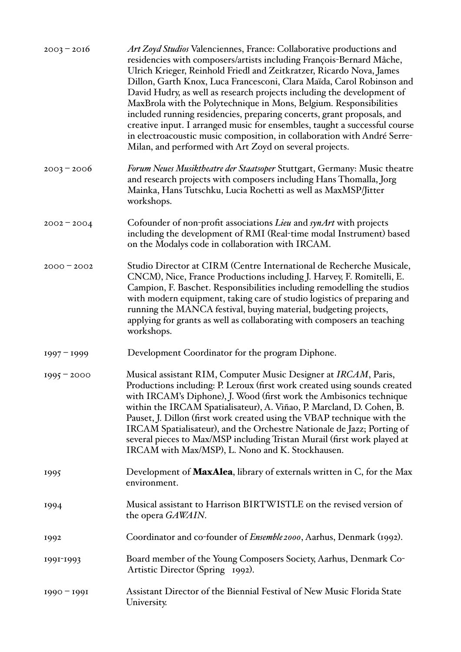| $2003 - 2016$ | Art Zoyd Studios Valenciennes, France: Collaborative productions and<br>residencies with composers/artists including François-Bernard Mâche,<br>Ulrich Krieger, Reinhold Friedl and Zeitkratzer, Ricardo Nova, James<br>Dillon, Garth Knox, Luca Francesconi, Clara Maïda, Carol Robinson and<br>David Hudry, as well as research projects including the development of<br>MaxBrola with the Polytechnique in Mons, Belgium. Responsibilities<br>included running residencies, preparing concerts, grant proposals, and<br>creative input. I arranged music for ensembles, taught a successful course<br>in electroacoustic music composition, in collaboration with André Serre-<br>Milan, and performed with Art Zoyd on several projects. |
|---------------|----------------------------------------------------------------------------------------------------------------------------------------------------------------------------------------------------------------------------------------------------------------------------------------------------------------------------------------------------------------------------------------------------------------------------------------------------------------------------------------------------------------------------------------------------------------------------------------------------------------------------------------------------------------------------------------------------------------------------------------------|
| $2003 - 2006$ | <i>Forum Neues Musiktheatre der Staatsoper Stuttgart, Germany: Music theatre</i><br>and research projects with composers including Hans Thomalla, Jorg<br>Mainka, Hans Tutschku, Lucia Rochetti as well as MaxMSP/Jitter<br>workshops.                                                                                                                                                                                                                                                                                                                                                                                                                                                                                                       |
| $2002 - 2004$ | Cofounder of non-profit associations Lieu and synArt with projects<br>including the development of RMI (Real-time modal Instrument) based<br>on the Modalys code in collaboration with IRCAM.                                                                                                                                                                                                                                                                                                                                                                                                                                                                                                                                                |
| $2000 - 2002$ | Studio Director at CIRM (Centre International de Recherche Musicale,<br>CNCM), Nice, France Productions including J. Harvey, F. Romitelli, E.<br>Campion, F. Baschet. Responsibilities including remodelling the studios<br>with modern equipment, taking care of studio logistics of preparing and<br>running the MANCA festival, buying material, budgeting projects,<br>applying for grants as well as collaborating with composers an teaching<br>workshops.                                                                                                                                                                                                                                                                             |
| $1997 - 1999$ | Development Coordinator for the program Diphone.                                                                                                                                                                                                                                                                                                                                                                                                                                                                                                                                                                                                                                                                                             |
| $1995 - 2000$ | Musical assistant RIM, Computer Music Designer at IRCAM, Paris,<br>Productions including: P. Leroux (first work created using sounds created<br>with IRCAM's Diphone), J. Wood (first work the Ambisonics technique<br>within the IRCAM Spatialisateur), A. Viñao, P. Marcland, D. Cohen, B.<br>Pauset, J. Dillon (first work created using the VBAP technique with the<br>IRCAM Spatialisateur), and the Orchestre Nationale de Jazz; Porting of<br>several pieces to Max/MSP including Tristan Murail (first work played at<br>IRCAM with Max/MSP), L. Nono and K. Stockhausen.                                                                                                                                                            |
| 1995          | Development of MaxAlea, library of externals written in C, for the Max<br>environment.                                                                                                                                                                                                                                                                                                                                                                                                                                                                                                                                                                                                                                                       |
| 1994          | Musical assistant to Harrison BIRTWISTLE on the revised version of<br>the opera GAWAIN.                                                                                                                                                                                                                                                                                                                                                                                                                                                                                                                                                                                                                                                      |
| 1992          | Coordinator and co-founder of <i>Ensemble 2000</i> , Aarhus, Denmark (1992).                                                                                                                                                                                                                                                                                                                                                                                                                                                                                                                                                                                                                                                                 |
| 1991-1993     | Board member of the Young Composers Society, Aarhus, Denmark Co-<br>Artistic Director (Spring 1992).                                                                                                                                                                                                                                                                                                                                                                                                                                                                                                                                                                                                                                         |
| $1990 - 1991$ | Assistant Director of the Biennial Festival of New Music Florida State<br>University.                                                                                                                                                                                                                                                                                                                                                                                                                                                                                                                                                                                                                                                        |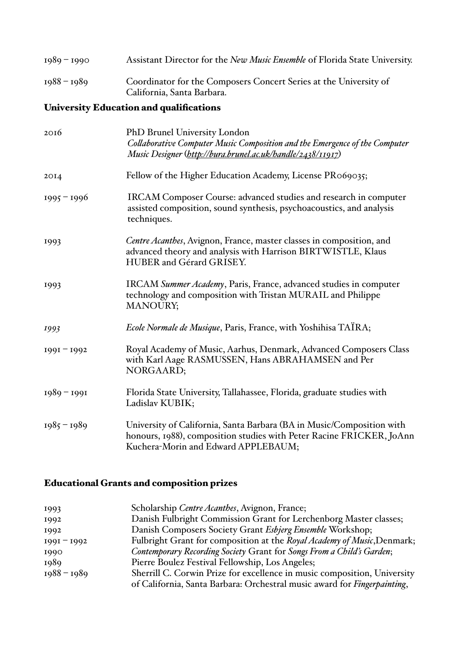| 1989 – 1990 | Assistant Director for the New Music Ensemble of Florida State University.                      |
|-------------|-------------------------------------------------------------------------------------------------|
| 1988 – 1989 | Coordinator for the Composers Concert Series at the University of<br>California, Santa Barbara. |

## University Education and qualifications

| 2016          | PhD Brunel University London<br>Collaborative Computer Music Composition and the Emergence of the Computer<br>Music Designer (http://bura.brunel.ac.uk/handle/2438/11917)            |  |  |  |  |  |
|---------------|--------------------------------------------------------------------------------------------------------------------------------------------------------------------------------------|--|--|--|--|--|
| 20I4          | Fellow of the Higher Education Academy, License PR069035;                                                                                                                            |  |  |  |  |  |
| $1995 - 1996$ | IRCAM Composer Course: advanced studies and research in computer<br>assisted composition, sound synthesis, psychoacoustics, and analysis<br>techniques.                              |  |  |  |  |  |
| 1993          | Centre Acanthes, Avignon, France, master classes in composition, and<br>advanced theory and analysis with Harrison BIRTWISTLE, Klaus<br>HUBER and Gérard GRISEY.                     |  |  |  |  |  |
| 1993          | IRCAM Summer Academy, Paris, France, advanced studies in computer<br>technology and composition with Tristan MURAIL and Philippe<br><b>MANOURY;</b>                                  |  |  |  |  |  |
| 1993          | <i>Ecole Normale de Musique</i> , Paris, France, with Yoshihisa TAIRA;                                                                                                               |  |  |  |  |  |
| $1991 - 1992$ | Royal Academy of Music, Aarhus, Denmark, Advanced Composers Class<br>with Karl Aage RASMUSSEN, Hans ABRAHAMSEN and Per<br>NORGAARD;                                                  |  |  |  |  |  |
| $1989 - 1991$ | Florida State University, Tallahassee, Florida, graduate studies with<br>Ladislav KUBIK;                                                                                             |  |  |  |  |  |
| $1985 - 1989$ | University of California, Santa Barbara (BA in Music/Composition with<br>honours, 1988), composition studies with Peter Racine FRICKER, JoAnn<br>Kuchera-Morin and Edward APPLEBAUM; |  |  |  |  |  |

# Educational Grants and composition prizes

| 1993          | Scholarship Centre Acanthes, Avignon, France;                                                                                                        |
|---------------|------------------------------------------------------------------------------------------------------------------------------------------------------|
| 1992          | Danish Fulbright Commission Grant for Lerchenborg Master classes;                                                                                    |
| 1992          | Danish Composers Society Grant Esbjerg Ensemble Workshop;                                                                                            |
| $1991 - 1992$ | Fulbright Grant for composition at the Royal Academy of Music, Denmark;                                                                              |
| 1990          | Contemporary Recording Society Grant for Songs From a Child's Garden;                                                                                |
| 1989          | Pierre Boulez Festival Fellowship, Los Angeles;                                                                                                      |
| $1988 - 1989$ | Sherrill C. Corwin Prize for excellence in music composition, University<br>of California, Santa Barbara: Orchestral music award for Fingerpainting, |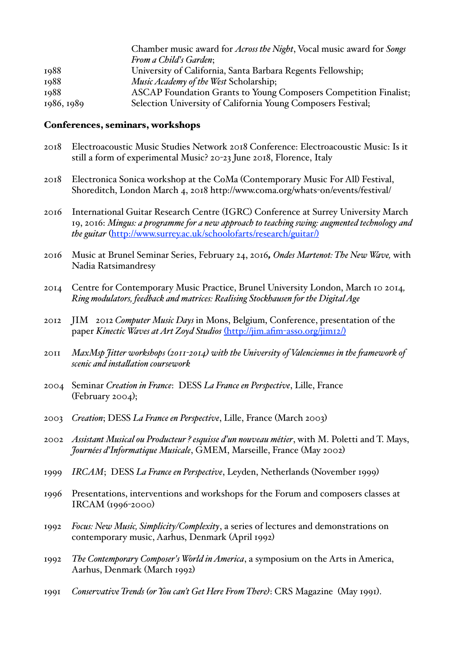| Chamber music award for <i>Across the Night</i> , Vocal music award for <i>Songs</i> |
|--------------------------------------------------------------------------------------|
| From a Child's Garden;                                                               |
| University of California, Santa Barbara Regents Fellowship;                          |
| Music Academy of the West Scholarship;                                               |
| <b>ASCAP Foundation Grants to Young Composers Competition Finalist;</b>              |
| Selection University of California Young Composers Festival;                         |
|                                                                                      |

#### Conferences, seminars, workshops

- 2018 Electroacoustic Music Studies Network 2018 Conference: Electroacoustic Music: Is it still a form of experimental Music? 20-23 June 2018, Florence, Italy
- 2018 Electronica Sonica workshop at the CoMa (Contemporary Music For All) Festival, Shoreditch, London March 4, 2018 http://www.coma.org/whats-on/events/festival/
- 2016 International Guitar Research Centre (IGRC) Conference at Surrey University March 19, 2016: *Mingus: a programme for a new approach to teaching swing: augmented technology and the guitar* ([http://www.surrey.ac.uk/schoolofarts/research/guitar/](http://www.surrey.ac.uk/schoolofarts/research/guitar/)))
- 2016 Music at Brunel Seminar Series, February 24, 2016*, Ondes Martenot: The New Wave,* with Nadia Ratsimandresy
- 2014 Centre for Contemporary Music Practice, Brunel University London, March 10 2014*, Ring modulators, feedback and matrices: Realising Stockhausen for the DigitalAge*
- 2012 JIM 2012 *Computer Music Days* in Mons, Belgium, Conference, presentation of the paper *Kinectic Waves at Art Zoyd Studios* (http://jim.afim-asso.org/jim12/)
- 2011 *MaxMsp Jitter workshops (2011-2014) with the University of Valenciennes in the famework of scenic and instalation coursework*
- 2004 Seminar *Creation in France*: DESS *La France en Perspective*, Lille, France (February 2004);
- 2003 *Creation*; DESS *La France en Perspective*, Lille, France (March 2003)
- 2002 *Assistant Musical ou Producteur ? esquisse d'un nouveau métier*, with M. Poletti and T. Mays, *Journées d'Informatique Musicale*, GMEM, Marseille, France (May 2002)
- 1999 *IRCAM*; DESS *La France en Perspective*, Leyden, Netherlands (November 1999)
- 1996 Presentations, interventions and workshops for the Forum and composers classes at IRCAM (1996-2000)
- 1992 *Focus: New Music, Simplicity/Complexity*, a series of lectures and demonstrations on contemporary music, Aarhus, Denmark (April 1992)
- 1992 *The Contemporary Composer's World in America*, a symposium on the Arts in America, Aarhus, Denmark (March 1992)
- 1991 *Conservative Trends (or You can't Get Here From There)*: CRS Magazine (May 1991).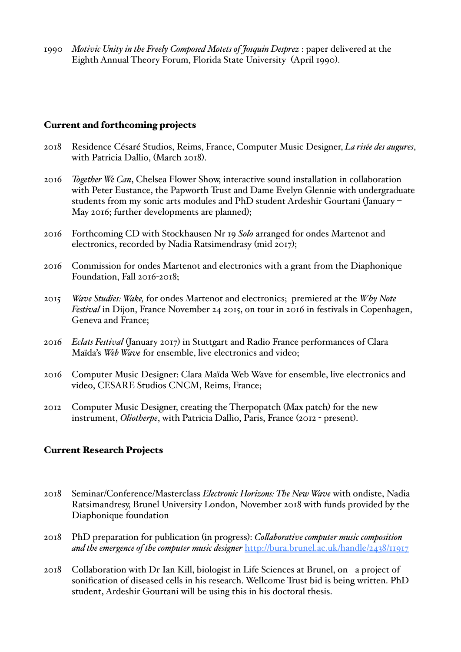1990 *Motivic Unity in the Freely Composed Motets of Josquin Desprez* : paper delivered at the Eighth Annual Theory Forum, Florida State University (April 1990).

## Current and forthcoming projects

- 2018 Residence Césaré Studios, Reims, France, Computer Music Designer, *La risée des augures*, with Patricia Dallio, (March 2018).
- 2016 *Together We Can*, Chelsea Flower Show, interactive sound installation in collaboration with Peter Eustance, the Papworth Trust and Dame Evelyn Glennie with undergraduate students from my sonic arts modules and PhD student Ardeshir Gourtani (January – May 2016; further developments are planned);
- 2016 Forthcoming CD with Stockhausen Nr 19 *Solo* arranged for ondes Martenot and electronics, recorded by Nadia Ratsimendrasy (mid 2017);
- 2016 Commission for ondes Martenot and electronics with a grant from the Diaphonique Foundation, Fall 2016-2018;
- 2015 *Wave Studies: Wake,* for ondes Martenot and electronics; premiered at the *Why Note Festival* in Dijon, France November 24 2015, on tour in 2016 in festivals in Copenhagen, Geneva and France;
- 2016 *Eclats Festival* (January 2017) in Stuttgart and Radio France performances of Clara Maïda's *Web Wave* for ensemble, live electronics and video;
- 2016 Computer Music Designer: Clara Maïda Web Wave for ensemble, live electronics and video, CESARE Studios CNCM, Reims, France;
- 2012 Computer Music Designer, creating the Therpopatch (Max patch) for the new instrument, *Oliotherpe*, with Patricia Dallio, Paris, France (2012 - present).

### Current Research Projects

- 2018 Seminar/Conference/Masterclass *Electronic Horizons: The New Wave* with ondiste, Nadia Ratsimandresy, Brunel University London, November 2018 with funds provided by the Diaphonique foundation
- 2018 PhD preparation for publication (in progress): *Colaborative computer music composition and the emergence of the computer music designer* <http://bura.brunel.ac.uk/handle/2438/11917>
- 2018 Collaboration with Dr Ian Kill, biologist in Life Sciences at Brunel, on a project of sonification of diseased cells in his research. Wellcome Trust bid is being written. PhD student, Ardeshir Gourtani will be using this in his doctoral thesis.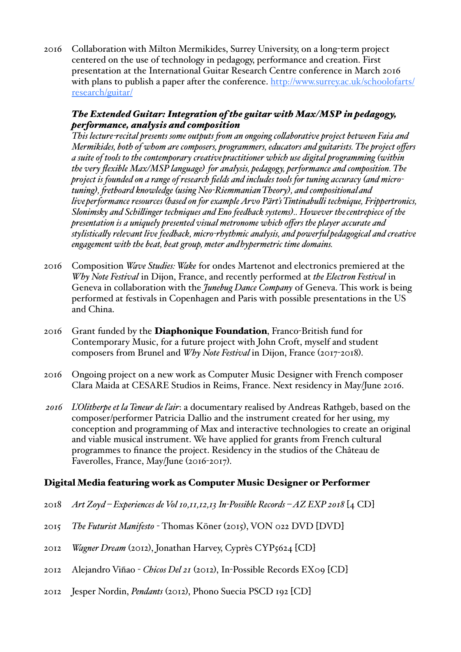2016 Collaboration with Milton Mermikides, Surrey University, on a long-term project centered on the use of technology in pedagogy, performance and creation. First presentation at the International Guitar Research Centre conference in March 2016 with plans to publish a paper after the conference. [http://www.surrey.ac.uk/schoolofarts/](http://www.surrey.ac.uk/schoolofarts/research/guitar/) [research/guitar/](http://www.surrey.ac.uk/schoolofarts/research/guitar/)

## *The Extended Guitar: Integration of the guitar with Max/MSP in pedagogy, performance, analysis and composition*

*This lecture-recital presents some outputs fom an ongoing colaborative project between Faia and Mermikides, both of whom are composers, programmers, educators and guitarists. The project offers a suite of tools to the contemporary creativepractitioner which use digital programming (within the very flexible Max/MSP language) for analysis, pedagogy, performance and composition. The project is founded on a range of research fields and includes tools for tuning accuracy (and microtuning), fetboard knowledge (using Neo-RiemmanianTheory), and compositionaland liveperformance resources (based on for example Arvo Pärt'sTintinabuli technique, Frippertronics, Slonimsky and Schilinger techniques and Eno feedback systems).. However thecentrepiece of the presentation is a uniquely presented visual metronome which offers the player accurate and stylisticaly relevant live feedback, micro-rhythmic analysis, and powerfulpedagogical and creative engagement with the beat, beat group, meter andhypermetric time domains.*

- 2016 Composition *Wave Studies: Wake* for ondes Martenot and electronics premiered at the *Why Note Festival* in Dijon, France, and recently performed at *the Electron Festival* in Geneva in collaboration with the *Junebug Dance Company* of Geneva. This work is being performed at festivals in Copenhagen and Paris with possible presentations in the US and China.
- 2016 Grant funded by the Diaphonique Foundation, Franco-British fund for Contemporary Music, for a future project with John Croft, myself and student composers from Brunel and *Why Note Festival* in Dijon, France (2017-2018).
- 2016 Ongoing project on a new work as Computer Music Designer with French composer Clara Maida at CESARE Studios in Reims, France. Next residency in May/June 2016.
- *2016 L'Olitherpe et la Teneur de l'air*: a documentary realised by Andreas Rathgeb, based on the composer/performer Patricia Dallio and the instrument created for her using, my conception and programming of Max and interactive technologies to create an original and viable musical instrument. We have applied for grants from French cultural programmes to finance the project. Residency in the studios of the Château de Faverolles, France, May/June (2016-2017).

## Digital Media featuring work as Computer Music Designer or Performer

- 2018 *Art Zoyd – Experiences de Vol 10,11,12,13 In-Possible Records – AZ EXP 2018* [4 CD]
- 2015 *The Futurist Manifesto* Thomas Köner (2015), VON 022 DVD [DVD]
- 2012 *Wagner Dream* (2012), Jonathan Harvey, Cyprès CYP5624 [CD]
- 2012 Alejandro Viñao *Chicos Del 21* (2012), In-Possible Records EX09 [CD]
- 2012 Jesper Nordin, *Pendants* (2012), Phono Suecia PSCD 192 [CD]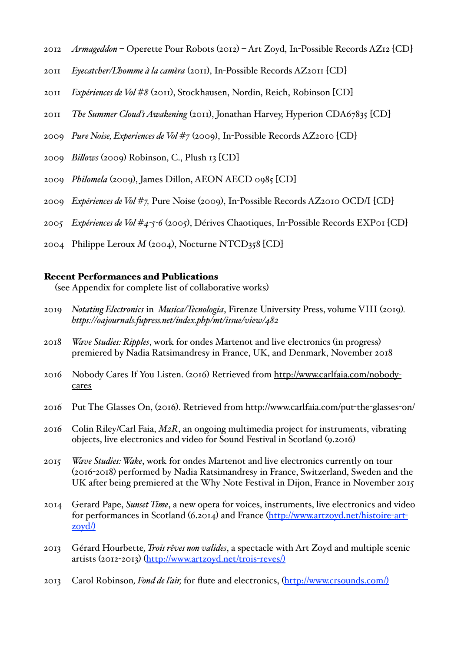- 2012 *Armageddon* Operette Pour Robots (2012) Art Zoyd, In-Possible Records AZ12 [CD]
- 2011 *Eyecatcher/L'homme à la camèra* (2011), In-Possible Records AZ2011 [CD]
- 2011 *Expériences de Vol #8* (2011), Stockhausen, Nordin, Reich, Robinson [CD]
- 2011 *The Summer Cloud's Awakening* (2011), Jonathan Harvey, Hyperion CDA67835 [CD]
- 2009 *Pure Noise, Experiences de Vol #7* (2009), In-Possible Records AZ2010 [CD]
- 2009 *Bilows* (2009) Robinson, C., Plush 13 [CD]
- 2009 *Philomela* (2009), James Dillon, AEON AECD 0985 [CD]
- 2009 *Expériences de Vol #7,* Pure Noise (2009), In-Possible Records AZ2010 OCD/I [CD]
- 2005 *Expériences de Vol #4-5-6* (2005), Dérives Chaotiques, In-Possible Records EXP01 [CD]
- 2004 Philippe Leroux *M* (2004), Nocturne NTCD358 [CD]

#### Recent Performances and Publications

(see Appendix for complete list of collaborative works)

- 2019 *Notating Electronics* in *Musica/Tecnologia*, Firenze University Press, volume VIII (2019)*. https://oajournals.fupress.net/index.php/mt/issue/view/482*
- 2018 *Wave Studies: Ripples*, work for ondes Martenot and live electronics (in progress) premiered by Nadia Ratsimandresy in France, UK, and Denmark, November 2018
- 2016 Nobody Cares If You Listen. (2016) Retrieved from [http://www.carlfaia.com/nobody](http://www.carlfaia.com/nobody-cares)[cares](http://www.carlfaia.com/nobody-cares)
- 2016 Put The Glasses On, (2016). Retrieved from http://www.carlfaia.com/put-the-glasses-on/
- 2016 Colin Riley/Carl Faia, *M2R*, an ongoing multimedia project for instruments, vibrating objects, live electronics and video for Sound Festival in Scotland (9.2016)
- 2015 *Wave Studies: Wake*, work for ondes Martenot and live electronics currently on tour (2016-2018) performed by Nadia Ratsimandresy in France, Switzerland, Sweden and the UK after being premiered at the Why Note Festival in Dijon, France in November 2015
- 2014 Gerard Pape, *Sunset Time*, a new opera for voices, instruments, live electronics and video for performances in Scotland (6.2014) and France ([http://www.artzoyd.net/histoire](http://www.artzoyd.net/histoire-art-zoyd/))-art $zovd/$
- 2013 Gérard Hourbette*, Trois rêves non valides*, a spectacle with Art Zoyd and multiple scenic artists (2012-2013) ([http://www.artzoyd.net/trois](http://www.artzoyd.net/trois-reves/))-reves/)
- 2013 Carol Robinson*, Fond de l'air,* for flute and electronics, ([http://www.crsounds.com/](http://www.crsounds.com/)))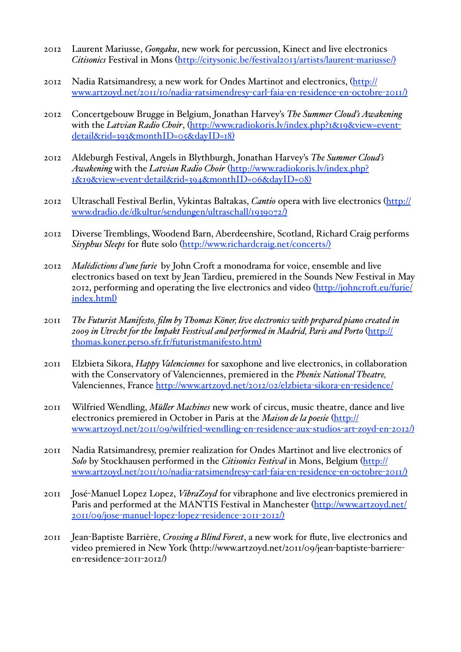- 2012 Laurent Mariusse, *Gongaku*, new work for percussion, Kinect and live electronics *Citisonics* Festival in Mons ([http://citysonic.be/festival2013/artists/laurent](http://citysonic.be/festival2013/artists/laurent-mariusse/))-mariusse/)
- 2012 Nadia Ratsimandresy, a new work for Ondes Martinot and electronics, ([http://](http://www.artzoyd.net/2011/10/nadia-ratsimendresy-carl-faia-en-residence-en-octobre-2011/)) [www.artzoyd.net/2011/10/nadia](http://www.artzoyd.net/2011/10/nadia-ratsimendresy-carl-faia-en-residence-en-octobre-2011/))-ratsimendresy-carl-faia-en-residence-en-octobre-2011/)
- 2012 Concertgebouw Brugge in Belgium, Jonathan Harvey's *The Summer Cloud's Awakening*  with the *Latvian Radio Choir*, ([http://www.radiokoris.lv/index.php?1&19&view=event](http://www.radiokoris.lv/index.php?1&19&view=event-detail&rid=393&monthID=05&dayID=18))[detail&rid=393&monthID=05&dayID=18](http://www.radiokoris.lv/index.php?1&19&view=event-detail&rid=393&monthID=05&dayID=18)))
- 2012 Aldeburgh Festival, Angels in Blythburgh, Jonathan Harvey's *The Summer Cloud's Awakening* with the *Latvian Radio Choir* ([http://www.radiokoris.lv/index.php?](http://www.radiokoris.lv/index.php?1&19&view=event-detail&rid=394&monthID=06&dayID=08)) 1&19&view=event-[detail&rid=394&monthID=06&dayID=08](http://www.radiokoris.lv/index.php?1&19&view=event-detail&rid=394&monthID=06&dayID=08)))
- 2012 Ultraschall Festival Berlin, Vykintas Baltakas, *Cantio* opera with live electronics ([http://](http://www.dradio.de/dkultur/sendungen/ultraschall/1939072/)) [www.dradio.de/dkultur/sendungen/ultraschall/1939072/](http://www.dradio.de/dkultur/sendungen/ultraschall/1939072/)))
- 2012 Diverse Tremblings, Woodend Barn, Aberdeenshire, Scotland, Richard Craig performs *Sisyphus Sleeps* for flute solo ([http://www.richardcraig.net/concerts/](http://www.richardcraig.net/concerts/)))
- 2012 *Malédictions d'une furie* by John Croft a monodrama for voice, ensemble and live electronics based on text by Jean Tardieu, premiered in the Sounds New Festival in May 2012, performing and operating the live electronics and video ([http://johncroft.eu/furie/](http://johncroft.eu/furie/index.html)) [index.html](http://johncroft.eu/furie/index.html)))
- 2011 *The Futurist Manifesto, film by Thomas Köner, live electronics with prepared piano created in 2009 in Utrecht for the Impakt Fesstival and performed in Madrid, Paris and Porto* ([http://](http://thomas.koner.perso.sfr.fr/futuristmanifesto.htm)) [thomas.koner.perso.sfr.fr/futuristmanifesto.htm](http://thomas.koner.perso.sfr.fr/futuristmanifesto.htm)))
- 2011 Elzbieta Sikora, *Happy Valenciennes* for saxophone and live electronics, in collaboration with the Conservatory of Valenciennes, premiered in the *Phenix National Theatre,*  Valenciennes, France [http://www.artzoyd.net/2012/02/elzbieta](http://www.artzoyd.net/2012/02/elzbieta-sikora-en-residence/)-sikora-en-residence/
- 2011 Wilfried Wendling, *Müler Machines* new work of circus, music theatre, dance and live electronics premiered in October in Paris at the *Maison de la poesie* ([http://](http://www.artzoyd.net/2011/09/wilfried-wendling-en-residence-aux-studios-art-zoyd-en-2012/)) [www.artzoyd.net/2011/09/wilfried](http://www.artzoyd.net/2011/09/wilfried-wendling-en-residence-aux-studios-art-zoyd-en-2012/))-wendling-en-residence-aux-studios-art-zoyd-en-2012/)
- 2011 Nadia Ratsimandresy, premier realization for Ondes Martinot and live electronics of *Solo* by Stockhausen performed in the *Citisonics Festival* in Mons, Belgium ([http://](http://www.artzoyd.net/2011/10/nadia-ratsimendresy-carl-faia-en-residence-en-octobre-2011/)) [www.artzoyd.net/2011/10/nadia](http://www.artzoyd.net/2011/10/nadia-ratsimendresy-carl-faia-en-residence-en-octobre-2011/))-ratsimendresy-carl-faia-en-residence-en-octobre-2011/)
- 2011 José-Manuel Lopez Lopez, *VibraZoyd* for vibraphone and live electronics premiered in Paris and performed at the MANTIS Festival in Manchester ([http://www.artzoyd.net/](http://www.artzoyd.net/2011/09/jose-manuel-lopez-lopez-residence-2011-2012/)) [2011/09/jose](http://www.artzoyd.net/2011/09/jose-manuel-lopez-lopez-residence-2011-2012/))-manuel-lopez-lopez-residence-2011-2012/)
- 2011 Jean-Baptiste Barrière, *Crossing a Blind Forest*, a new work for flute, live electronics and video premiered in New York (http://www.artzoyd.net/2011/09/jean-baptiste-barriereen-residence-2011-2012/)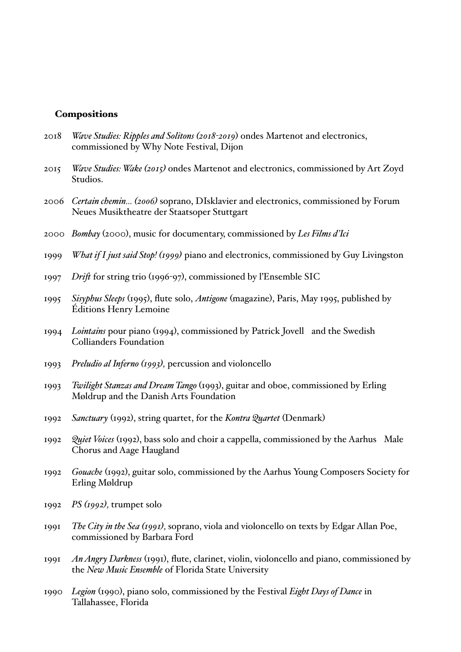#### **Compositions**

- 2018 *Wave Studies: Ripples and Solitons (2018-2019*) ondes Martenot and electronics, commissioned by Why Note Festival, Dijon
- 2015 *Wave Studies: Wake (2015)* ondes Martenot and electronics, commissioned by Art Zoyd Studios.
- 2006 *Certain chemin… (2006)* soprano, DIsklavier and electronics, commissioned by Forum Neues Musiktheatre der Staatsoper Stuttgart
- 2000 *Bombay* (2000), music for documentary, commissioned by *Les Films d'Ici*
- 1999 *What if I just said Stop! (1999)* piano and electronics, commissioned by Guy Livingston
- 1997 *Drif* for string trio (1996-97), commissioned by l'Ensemble SIC
- 1995 *Sisyphus Sleeps* (1995), flute solo, *Antigone* (magazine), Paris, May 1995, published by Éditions Henry Lemoine
- 1994 *Lointains* pour piano (1994), commissioned by Patrick Jovell and the Swedish Collianders Foundation
- 1993 *Preludio al Inferno (1993),* percussion and violoncello
- 1993 *Twilight Stanzas and Dream Tango* (1993), guitar and oboe, commissioned by Erling Møldrup and the Danish Arts Foundation
- 1992 *Sanctuary* (1992), string quartet, for the *Kontra Quartet* (Denmark)
- 1992 *Quiet Voices* (1992), bass solo and choir a cappella, commissioned by the Aarhus Male Chorus and Aage Haugland
- 1992 *Gouache* (1992), guitar solo, commissioned by the Aarhus Young Composers Society for Erling Møldrup
- 1992 *PS (1992),* trumpet solo
- 1991 *The City in the Sea (1991),* soprano, viola and violoncello on texts by Edgar Allan Poe, commissioned by Barbara Ford
- 1991 *An Angry Darkness* (1991), flute, clarinet, violin, violoncello and piano, commissioned by the *New Music Ensemble* of Florida State University
- 1990 *Legion* (1990), piano solo, commissioned by the Festival *Eight Days of Dance* in Tallahassee, Florida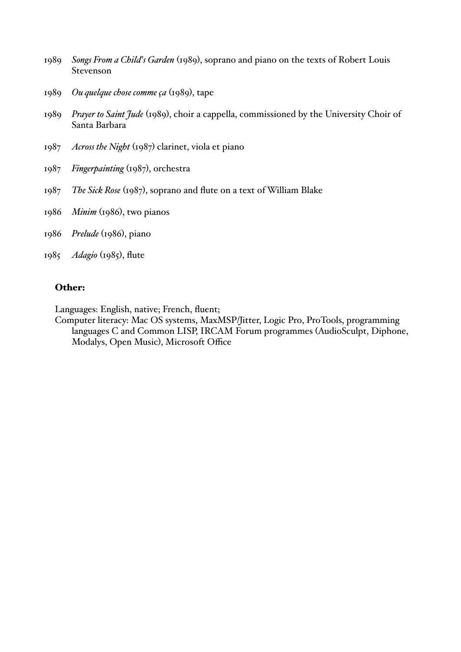- 1989 *Songs From a Child's Garden* (1989), soprano and piano on the texts of Robert Louis Stevenson
- 1989 *Ou quelque chose comme ça* (1989), tape
- 1989 *Prayer to Saint Jude* (1989), choir a cappella, commissioned by the University Choir of Santa Barbara
- 1987 *Across the Night* (1987) clarinet, viola et piano
- 1987 *Fingerpainting* (1987), orchestra
- 1987 *The Sick Rose* (1987), soprano and flute on a text of William Blake
- 1986 *Minim* (1986), two pianos
- 1986 *Prelude* (1986), piano
- 1985 *Adagio* (1985), flute

### Other:

Languages: English, native; French, fluent;

Computer literacy: Mac OS systems, MaxMSP/Jitter, Logic Pro, ProTools, programming languages C and Common LISP, IRCAM Forum programmes (AudioSculpt, Diphone, Modalys, Open Music), Microsoft Office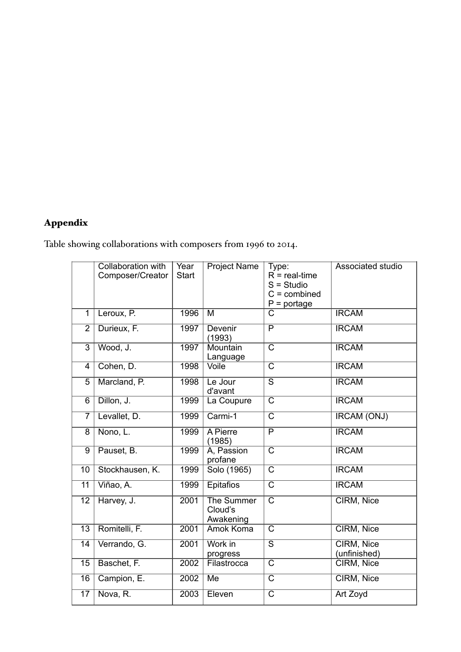## Appendix

Table showing collaborations with composers from 1996 to 2014.

|                 | Collaboration with<br>Composer/Creator | Year<br><b>Start</b> | <b>Project Name</b>                       | Type:<br>$R =$ real-time<br>$S =$ Studio<br>$C =$ combined<br>$P =$ portage | <b>Associated studio</b>   |
|-----------------|----------------------------------------|----------------------|-------------------------------------------|-----------------------------------------------------------------------------|----------------------------|
| $\overline{1}$  | Leroux, P.                             | 1996                 | $\overline{M}$                            | $\overline{\text{C}}$                                                       | <b>IRCAM</b>               |
| $\overline{2}$  | Durieux, F.                            | 1997                 | <b>Devenir</b><br>(1993)                  | $\overline{P}$                                                              | <b>IRCAM</b>               |
| $\overline{3}$  | Wood, J.                               | 1997                 | Mountain<br>Language                      | $\overline{\text{c}}$                                                       | <b>IRCAM</b>               |
| 4               | Cohen, D.                              | 1998                 | Voile                                     | $\overline{\text{c}}$                                                       | <b>IRCAM</b>               |
| 5               | Marcland, P.                           | 1998                 | Le Jour<br>d'avant                        | $\overline{\mathsf{s}}$                                                     | <b>IRCAM</b>               |
| 6               | Dillon, J.                             | 1999                 | La Coupure                                | $\overline{\text{c}}$                                                       | <b>IRCAM</b>               |
| $\overline{7}$  | Levallet, D.                           | 1999                 | Carmi-1                                   | $\overline{\text{c}}$                                                       | <b>IRCAM (ONJ)</b>         |
| $\overline{8}$  | Nono, L.                               | 1999                 | A Pierre<br>(1985)                        | $\overline{\mathsf{P}}$                                                     | <b>IRCAM</b>               |
| 9               | Pauset, B.                             | 1999                 | A, Passion<br>profane                     | $\overline{\mathsf{C}}$                                                     | <b>IRCAM</b>               |
| 10              | Stockhausen, K.                        | 1999                 | Solo (1965)                               | $\overline{\text{c}}$                                                       | <b>IRCAM</b>               |
| $\overline{11}$ | Viñao, A.                              | 1999                 | <b>Epitafios</b>                          | $\overline{\text{c}}$                                                       | <b>IRCAM</b>               |
| $\overline{12}$ | Harvey, J.                             | 2001                 | <b>The Summer</b><br>Cloud's<br>Awakening | $\overline{\text{c}}$                                                       | CIRM, Nice                 |
| $\overline{13}$ | Romitelli, F.                          | 2001                 | <b>Amok Koma</b>                          | $\overline{\text{c}}$                                                       | CIRM, Nice                 |
| $\overline{14}$ | Verrando, G.                           | 2001                 | Work in<br>progress                       | $\overline{\mathsf{s}}$                                                     | CIRM, Nice<br>(unfinished) |
| $\overline{15}$ | Baschet, F.                            | 2002                 | Filastrocca                               | $\overline{\text{C}}$                                                       | CIRM, Nice                 |
| $\overline{16}$ | Campion, E.                            | 2002                 | M <sub>e</sub>                            | $\overline{\text{c}}$                                                       | CIRM, Nice                 |
| $\overline{17}$ | Nova, R.                               | 2003                 | Eleven                                    | $\overline{\text{c}}$                                                       | Art Zoyd                   |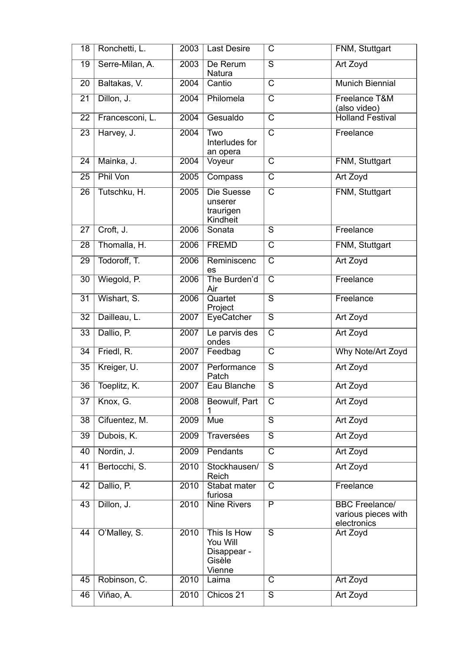| 18              | Ronchetti, L.   | 2003              | <b>Last Desire</b>                                         | С                       | FNM, Stuttgart                                              |
|-----------------|-----------------|-------------------|------------------------------------------------------------|-------------------------|-------------------------------------------------------------|
| $\overline{19}$ | Serre-Milan, A. | 2003              | De Rerum<br>Natura                                         | $\overline{\mathsf{s}}$ | Art Zoyd                                                    |
| 20              | Baltakas, V.    | 2004              | Cantio                                                     | $\overline{\text{c}}$   | <b>Munich Biennial</b>                                      |
| $\overline{21}$ | Dillon, J.      | 2004              | Philomela                                                  | $\overline{\text{C}}$   | Freelance T&M<br>(also video)                               |
| 22              | Francesconi, L. | 2004              | Gesualdo                                                   | $\overline{\text{C}}$   | <b>Holland Festival</b>                                     |
| $\overline{23}$ | Harvey, J.      | $\overline{2004}$ | Two<br>Interludes for<br>an opera                          | $\overline{\text{c}}$   | Freelance                                                   |
| $\overline{24}$ | Mainka, J.      | 2004              | Voyeur                                                     | $\overline{\text{C}}$   | FNM, Stuttgart                                              |
| 25              | Phil Von        | 2005              | Compass                                                    | $\overline{\mathsf{C}}$ | Art Zoyd                                                    |
| 26              | Tutschku, H.    | 2005              | Die Suesse<br>unserer<br>traurigen<br>Kindheit             | $\overline{\text{c}}$   | FNM, Stuttgart                                              |
| 27              | Croft, J.       | 2006              | Sonata                                                     | $\overline{\mathsf{s}}$ | Freelance                                                   |
| 28              | Thomalla, H.    | 2006              | <b>FREMD</b>                                               | $\overline{\text{c}}$   | FNM, Stuttgart                                              |
| 29              | Todoroff, T.    | 2006              | Reminiscenc<br>es                                          | $\overline{\mathsf{C}}$ | Art Zoyd                                                    |
| $\overline{30}$ | Wiegold, P.     | 2006              | The Burden'd<br>Air                                        | $\overline{\text{c}}$   | Freelance                                                   |
| $\overline{31}$ | Wishart, S.     | 2006              | Quartet<br>Project                                         | $\overline{\mathsf{s}}$ | Freelance                                                   |
| $\overline{32}$ | Dailleau, L.    | 2007              | EyeCatcher                                                 | $\overline{\mathsf{s}}$ | Art Zoyd                                                    |
| $\overline{33}$ | Dallio, P.      | 2007              | Le parvis des<br>ondes                                     | $\overline{\text{c}}$   | Art Zoyd                                                    |
| 34              | Friedl, R.      | 2007              | Feedbag                                                    | $\overline{\mathsf{C}}$ | Why Note/Art Zoyd                                           |
| 35              | Kreiger, U.     | 2007              | Performance<br>Patch                                       | $\overline{\mathsf{s}}$ | Art Zoyd                                                    |
| $\overline{36}$ | Toeplitz, K.    | 2007              | Eau Blanche                                                | $\overline{\mathsf{s}}$ | Art Zoyd                                                    |
| 37              | Knox, G.        | 2008              | Beowulf, Part<br>1                                         | $\overline{\mathsf{C}}$ | Art Zoyd                                                    |
| $\overline{38}$ | Cifuentez, M.   | 2009              | <b>Mue</b>                                                 | $\overline{\mathsf{s}}$ | Art Zoyd                                                    |
| 39              | Dubois, K.      | 2009              | <b>Traversées</b>                                          | $\overline{\mathsf{s}}$ | Art Zoyd                                                    |
| 40              | Nordin, J.      | 2009              | Pendants                                                   | $\overline{\text{C}}$   | Art Zoyd                                                    |
| 41              | Bertocchi, S.   | 2010              | Stockhausen/<br>Reich                                      | $\overline{s}$          | Art Zoyd                                                    |
| 42              | Dallio, P.      | 2010              | Stabat mater<br>furiosa                                    | $\overline{\text{c}}$   | Freelance                                                   |
| 43              | Dillon, J.      | 2010              | <b>Nine Rivers</b>                                         | $\overline{\mathsf{P}}$ | <b>BBC Freelance/</b><br>various pieces with<br>electronics |
| 44              | O'Malley, S.    | 2010              | This Is How<br>You Will<br>Disappear -<br>Gisèle<br>Vienne | $\overline{\mathsf{s}}$ | Art Zoyd                                                    |
| 45              | Robinson, C.    | 2010              | Laima                                                      | C                       | Art Zoyd                                                    |
| 46              | Viñao, A.       | 2010              | Chicos 21                                                  | $\overline{\mathsf{s}}$ | Art Zoyd                                                    |